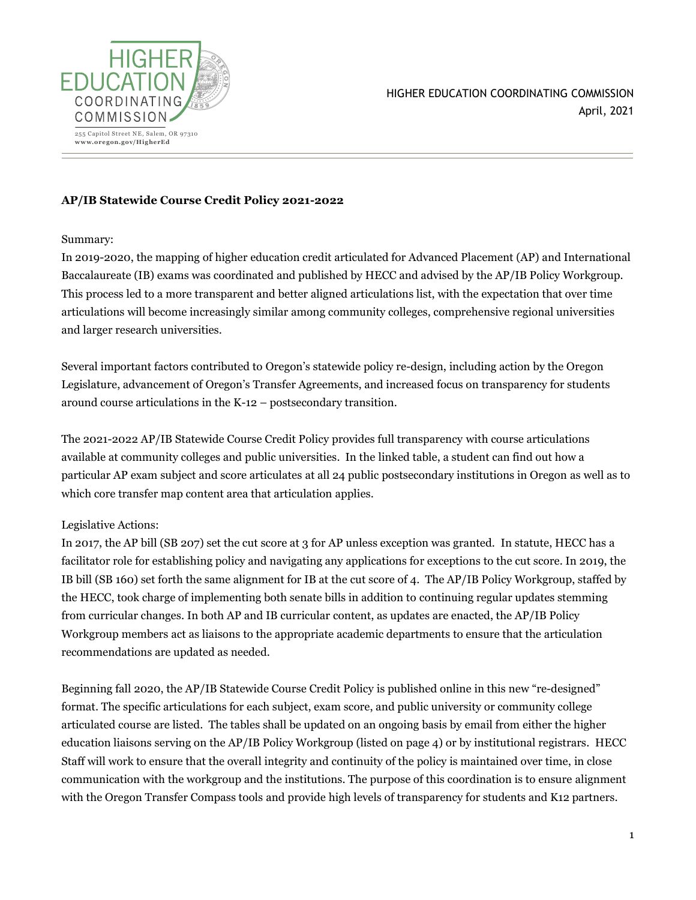

HIGHER EDUCATION COORDINATING COMMISSION April, 2021

## **AP/IB Statewide Course Credit Policy 2021-2022**

#### Summary:

In 2019-2020, the mapping of higher education credit articulated for Advanced Placement (AP) and International Baccalaureate (IB) exams was coordinated and published by HECC and advised by the AP/IB Policy Workgroup. This process led to a more transparent and better aligned articulations list, with the expectation that over time articulations will become increasingly similar among community colleges, comprehensive regional universities and larger research universities.

Several important factors contributed to Oregon's statewide policy re-design, including action by the Oregon Legislature, advancement of Oregon's Transfer Agreements, and increased focus on transparency for students around course articulations in the K-12 – postsecondary transition.

The 2021-2022 AP/IB Statewide Course Credit Policy provides full transparency with course articulations available at community colleges and public universities. In the linked table, a student can find out how a particular AP exam subject and score articulates at all 24 public postsecondary institutions in Oregon as well as to which core transfer map content area that articulation applies.

### Legislative Actions:

In 2017, the AP bill (SB 207) set the cut score at 3 for AP unless exception was granted. In statute, HECC has a facilitator role for establishing policy and navigating any applications for exceptions to the cut score. In 2019, the IB bill (SB 160) set forth the same alignment for IB at the cut score of 4. The AP/IB Policy Workgroup, staffed by the HECC, took charge of implementing both senate bills in addition to continuing regular updates stemming from curricular changes. In both AP and IB curricular content, as updates are enacted, the AP/IB Policy Workgroup members act as liaisons to the appropriate academic departments to ensure that the articulation recommendations are updated as needed.

Beginning fall 2020, the AP/IB Statewide Course Credit Policy is published online in this new "re-designed" format. The specific articulations for each subject, exam score, and public university or community college articulated course are listed. The tables shall be updated on an ongoing basis by email from either the higher education liaisons serving on the AP/IB Policy Workgroup (listed on page 4) or by institutional registrars. HECC Staff will work to ensure that the overall integrity and continuity of the policy is maintained over time, in close communication with the workgroup and the institutions. The purpose of this coordination is to ensure alignment with the Oregon Transfer Compass tools and provide high levels of transparency for students and K12 partners.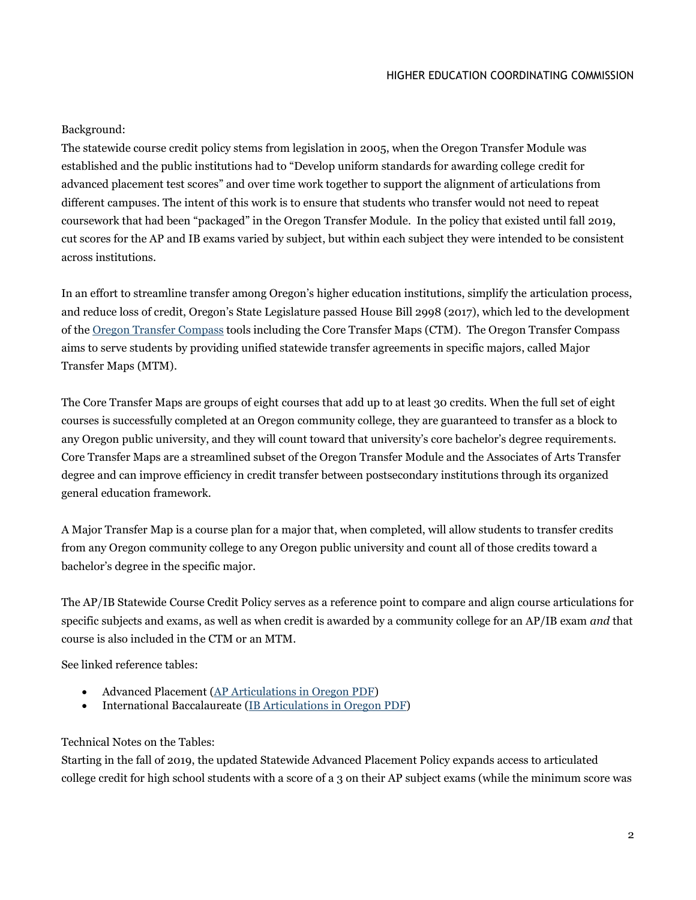#### HIGHER EDUCATION COORDINATING COMMISSION

## Background:

The statewide course credit policy stems from legislation in 2005, when the Oregon Transfer Module was established and the public institutions had to "Develop uniform standards for awarding college credit for advanced placement test scores" and over time work together to support the alignment of articulations from different campuses. The intent of this work is to ensure that students who transfer would not need to repeat coursework that had been "packaged" in the Oregon Transfer Module. In the policy that existed until fall 2019, cut scores for the AP and IB exams varied by subject, but within each subject they were intended to be consistent across institutions.

In an effort to streamline transfer among Oregon's higher education institutions, simplify the articulation process, and reduce loss of credit, Oregon's State Legislature passed House Bill 2998 (2017), which led to the development of th[e Oregon Transfer Compass](https://www.oregon.gov/highered/plan-pay-for-college/Pages/transfer.aspx) tools including the Core Transfer Maps (CTM). The Oregon Transfer Compass aims to serve students by providing unified statewide transfer agreements in specific majors, called Major Transfer Maps (MTM).

The Core Transfer Maps are groups of eight courses that add up to at least 30 credits. When the full set of eight courses is successfully completed at an Oregon community college, they are guaranteed to transfer as a block to any Oregon public university, and they will count toward that university's core bachelor's degree requirements. Core Transfer Maps are a streamlined subset of the Oregon Transfer Module and the Associates of Arts Transfer degree and can improve efficiency in credit transfer between postsecondary institutions through its organized general education framework.

A Major Transfer Map is a course plan for a major that, when completed, will allow students to transfer credits from any Oregon community college to any Oregon public university and count all of those credits toward a bachelor's degree in the specific major.

The AP/IB Statewide Course Credit Policy serves as a reference point to compare and align course articulations for specific subjects and exams, as well as when credit is awarded by a community college for an AP/IB exam *and* that course is also included in the CTM or an MTM.

See linked reference tables:

- Advanced Placement [\(AP Articulations in Oregon PDF\)](https://www.oregon.gov/highered/policy-collaboration/Documents/High-School-College/AP%20Articulations%20in%20Oregon%20PDF.pdf)
- International Baccalaureate [\(IB Articulations in Oregon PDF\)](https://www.oregon.gov/highered/policy-collaboration/Documents/High-School-College/IB%20Articulations%20in%20Oregon%20PDF.pdf)

### Technical Notes on the Tables:

Starting in the fall of 2019, the updated Statewide Advanced Placement Policy expands access to articulated college credit for high school students with a score of a 3 on their AP subject exams (while the minimum score was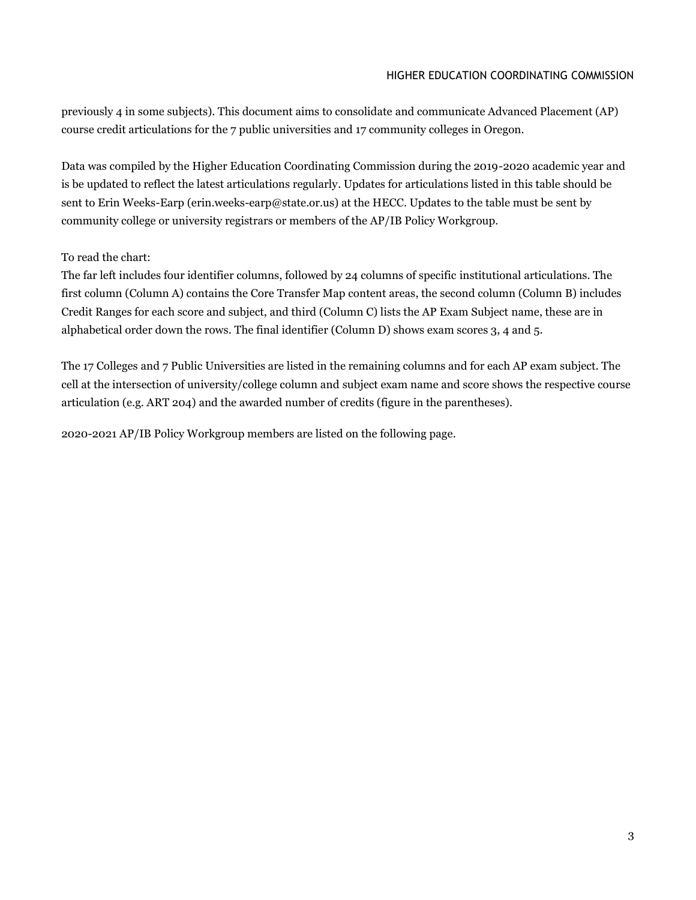previously 4 in some subjects). This document aims to consolidate and communicate Advanced Placement (AP) course credit articulations for the 7 public universities and 17 community colleges in Oregon.

Data was compiled by the Higher Education Coordinating Commission during the 2019-2020 academic year and is be updated to reflect the latest articulations regularly. Updates for articulations listed in this table should be sent to Erin Weeks-Earp (erin.weeks-earp@state.or.us) at the HECC. Updates to the table must be sent by community college or university registrars or members of the AP/IB Policy Workgroup.

# To read the chart:

The far left includes four identifier columns, followed by 24 columns of specific institutional articulations. The first column (Column A) contains the Core Transfer Map content areas, the second column (Column B) includes Credit Ranges for each score and subject, and third (Column C) lists the AP Exam Subject name, these are in alphabetical order down the rows. The final identifier (Column D) shows exam scores 3, 4 and 5.

The 17 Colleges and 7 Public Universities are listed in the remaining columns and for each AP exam subject. The cell at the intersection of university/college column and subject exam name and score shows the respective course articulation (e.g. ART 204) and the awarded number of credits (figure in the parentheses).

2020-2021 AP/IB Policy Workgroup members are listed on the following page.